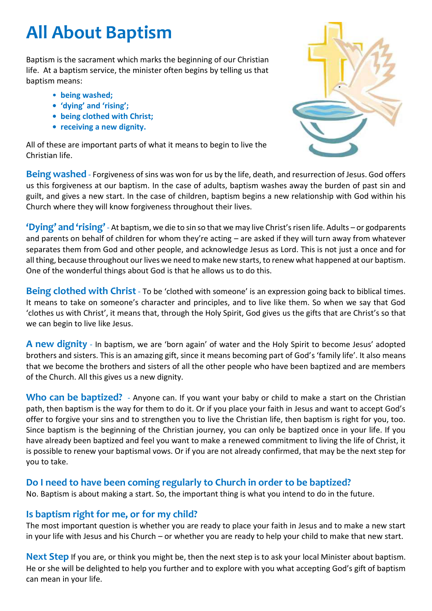## **All About Baptism**

Baptism is the sacrament which marks the beginning of our Christian life. At a baptism service, the minister often begins by telling us that baptism means:

- **being washed;**
- **'dying' and 'rising';**
- **• being clothed with Christ;**
- **• receiving a new dignity.**

All of these are important parts of what it means to begin to live the Christian life.



**Being washed** - Forgiveness of sins was won for us by the life, death, and resurrection of Jesus. God offers us this forgiveness at our baptism. In the case of adults, baptism washes away the burden of past sin and guilt, and gives a new start. In the case of children, baptism begins a new relationship with God within his Church where they will know forgiveness throughout their lives.

**'Dying' and 'rising'** - At baptism, we die to sin so that we may live Christ's risen life. Adults – or godparents and parents on behalf of children for whom they're acting – are asked if they will turn away from whatever separates them from God and other people, and acknowledge Jesus as Lord. This is not just a once and for all thing, because throughout our lives we need to make new starts, to renew what happened at our baptism. One of the wonderful things about God is that he allows us to do this.

**Being clothed with Christ** - To be 'clothed with someone' is an expression going back to biblical times. It means to take on someone's character and principles, and to live like them. So when we say that God 'clothes us with Christ', it means that, through the Holy Spirit, God gives us the gifts that are Christ's so that we can begin to live like Jesus.

**A new dignity** - In baptism, we are 'born again' of water and the Holy Spirit to become Jesus' adopted brothers and sisters. This is an amazing gift, since it means becoming part of God's 'family life'. It also means that we become the brothers and sisters of all the other people who have been baptized and are members of the Church. All this gives us a new dignity.

Who can be baptized? - Anyone can. If you want your baby or child to make a start on the Christian path, then baptism is the way for them to do it. Or if you place your faith in Jesus and want to accept God's offer to forgive your sins and to strengthen you to live the Christian life, then baptism is right for you, too. Since baptism is the beginning of the Christian journey, you can only be baptized once in your life. If you have already been baptized and feel you want to make a renewed commitment to living the life of Christ, it is possible to renew your baptismal vows. Or if you are not already confirmed, that may be the next step for you to take.

## **Do I need to have been coming regularly to Church in order to be baptized?**

No. Baptism is about making a start. So, the important thing is what you intend to do in the future.

## **Is baptism right for me, or for my child?**

The most important question is whether you are ready to place your faith in Jesus and to make a new start in your life with Jesus and his Church – or whether you are ready to help your child to make that new start.

**Next Step** If you are, or think you might be, then the next step is to ask your local Minister about baptism. He or she will be delighted to help you further and to explore with you what accepting God's gift of baptism can mean in your life.